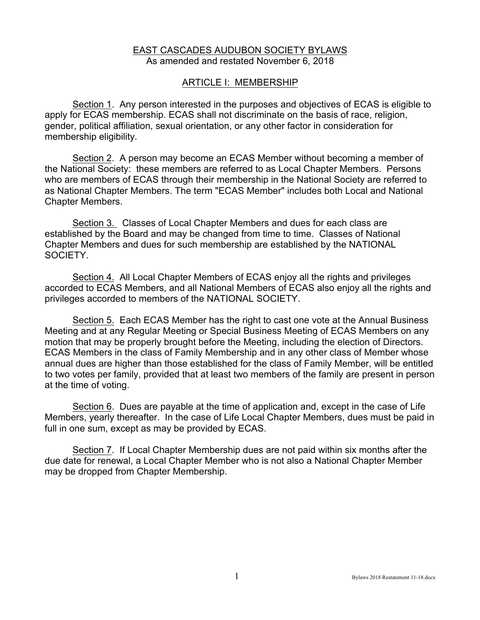### EAST CASCADES AUDUBON SOCIETY BYLAWS As amended and restated November 6, 2018

#### ARTICLE I: MEMBERSHIP

Section 1. Any person interested in the purposes and objectives of ECAS is eligible to apply for ECAS membership. ECAS shall not discriminate on the basis of race, religion, gender, political affiliation, sexual orientation, or any other factor in consideration for membership eligibility.

Section 2. A person may become an ECAS Member without becoming a member of the National Society: these members are referred to as Local Chapter Members. Persons who are members of ECAS through their membership in the National Society are referred to as National Chapter Members. The term "ECAS Member" includes both Local and National Chapter Members.

Section 3. Classes of Local Chapter Members and dues for each class are established by the Board and may be changed from time to time. Classes of National Chapter Members and dues for such membership are established by the NATIONAL SOCIETY.

Section 4. All Local Chapter Members of ECAS enjoy all the rights and privileges accorded to ECAS Members, and all National Members of ECAS also enjoy all the rights and privileges accorded to members of the NATIONAL SOCIETY.

Section 5. Each ECAS Member has the right to cast one vote at the Annual Business Meeting and at any Regular Meeting or Special Business Meeting of ECAS Members on any motion that may be properly brought before the Meeting, including the election of Directors. ECAS Members in the class of Family Membership and in any other class of Member whose annual dues are higher than those established for the class of Family Member, will be entitled to two votes per family, provided that at least two members of the family are present in person at the time of voting.

Section 6. Dues are payable at the time of application and, except in the case of Life Members, yearly thereafter. In the case of Life Local Chapter Members, dues must be paid in full in one sum, except as may be provided by ECAS.

Section 7. If Local Chapter Membership dues are not paid within six months after the due date for renewal, a Local Chapter Member who is not also a National Chapter Member may be dropped from Chapter Membership.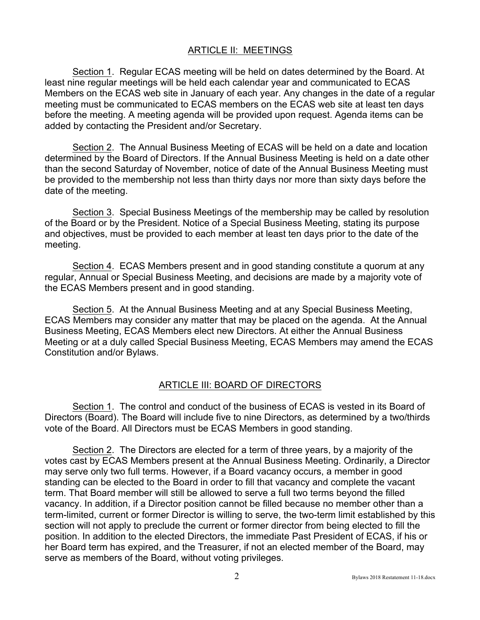### ARTICLE II: MEETINGS

Section 1. Regular ECAS meeting will be held on dates determined by the Board. At least nine regular meetings will be held each calendar year and communicated to ECAS Members on the ECAS web site in January of each year. Any changes in the date of a regular meeting must be communicated to ECAS members on the ECAS web site at least ten days before the meeting. A meeting agenda will be provided upon request. Agenda items can be added by contacting the President and/or Secretary.

Section 2. The Annual Business Meeting of ECAS will be held on a date and location determined by the Board of Directors. If the Annual Business Meeting is held on a date other than the second Saturday of November, notice of date of the Annual Business Meeting must be provided to the membership not less than thirty days nor more than sixty days before the date of the meeting.

Section 3. Special Business Meetings of the membership may be called by resolution of the Board or by the President. Notice of a Special Business Meeting, stating its purpose and objectives, must be provided to each member at least ten days prior to the date of the meeting.

Section 4. ECAS Members present and in good standing constitute a quorum at any regular, Annual or Special Business Meeting, and decisions are made by a majority vote of the ECAS Members present and in good standing.

Section 5. At the Annual Business Meeting and at any Special Business Meeting, ECAS Members may consider any matter that may be placed on the agenda. At the Annual Business Meeting, ECAS Members elect new Directors. At either the Annual Business Meeting or at a duly called Special Business Meeting, ECAS Members may amend the ECAS Constitution and/or Bylaws.

### ARTICLE III: BOARD OF DIRECTORS

Section 1. The control and conduct of the business of ECAS is vested in its Board of Directors (Board). The Board will include five to nine Directors, as determined by a two/thirds vote of the Board. All Directors must be ECAS Members in good standing.

Section 2. The Directors are elected for a term of three years, by a majority of the votes cast by ECAS Members present at the Annual Business Meeting. Ordinarily, a Director may serve only two full terms. However, if a Board vacancy occurs, a member in good standing can be elected to the Board in order to fill that vacancy and complete the vacant term. That Board member will still be allowed to serve a full two terms beyond the filled vacancy. In addition, if a Director position cannot be filled because no member other than a term-limited, current or former Director is willing to serve, the two-term limit established by this section will not apply to preclude the current or former director from being elected to fill the position. In addition to the elected Directors, the immediate Past President of ECAS, if his or her Board term has expired, and the Treasurer, if not an elected member of the Board, may serve as members of the Board, without voting privileges.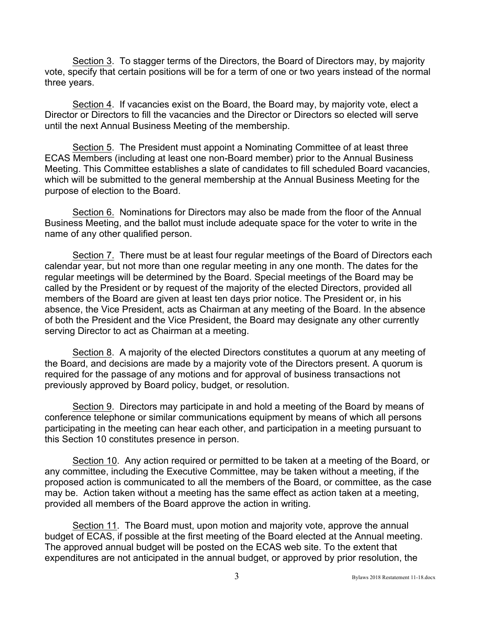Section 3. To stagger terms of the Directors, the Board of Directors may, by majority vote, specify that certain positions will be for a term of one or two years instead of the normal three years.

Section 4. If vacancies exist on the Board, the Board may, by majority vote, elect a Director or Directors to fill the vacancies and the Director or Directors so elected will serve until the next Annual Business Meeting of the membership.

Section 5. The President must appoint a Nominating Committee of at least three ECAS Members (including at least one non-Board member) prior to the Annual Business Meeting. This Committee establishes a slate of candidates to fill scheduled Board vacancies, which will be submitted to the general membership at the Annual Business Meeting for the purpose of election to the Board.

Section 6. Nominations for Directors may also be made from the floor of the Annual Business Meeting, and the ballot must include adequate space for the voter to write in the name of any other qualified person.

Section 7. There must be at least four regular meetings of the Board of Directors each calendar year, but not more than one regular meeting in any one month. The dates for the regular meetings will be determined by the Board. Special meetings of the Board may be called by the President or by request of the majority of the elected Directors, provided all members of the Board are given at least ten days prior notice. The President or, in his absence, the Vice President, acts as Chairman at any meeting of the Board. In the absence of both the President and the Vice President, the Board may designate any other currently serving Director to act as Chairman at a meeting.

Section 8. A majority of the elected Directors constitutes a quorum at any meeting of the Board, and decisions are made by a majority vote of the Directors present. A quorum is required for the passage of any motions and for approval of business transactions not previously approved by Board policy, budget, or resolution.

Section 9. Directors may participate in and hold a meeting of the Board by means of conference telephone or similar communications equipment by means of which all persons participating in the meeting can hear each other, and participation in a meeting pursuant to this Section 10 constitutes presence in person.

Section 10. Any action required or permitted to be taken at a meeting of the Board, or any committee, including the Executive Committee, may be taken without a meeting, if the proposed action is communicated to all the members of the Board, or committee, as the case may be. Action taken without a meeting has the same effect as action taken at a meeting, provided all members of the Board approve the action in writing.

Section 11. The Board must, upon motion and majority vote, approve the annual budget of ECAS, if possible at the first meeting of the Board elected at the Annual meeting. The approved annual budget will be posted on the ECAS web site. To the extent that expenditures are not anticipated in the annual budget, or approved by prior resolution, the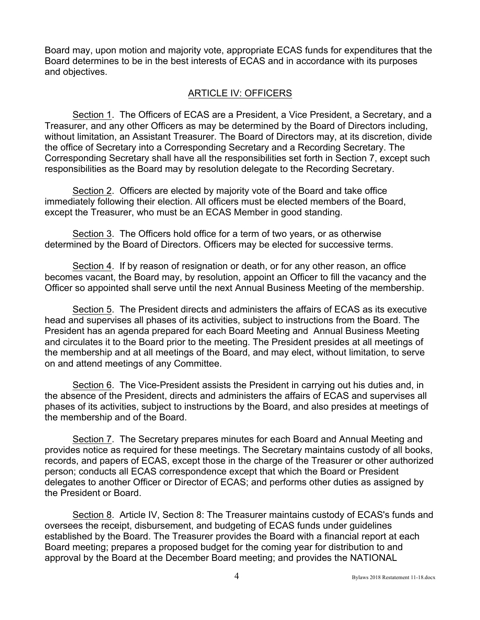Board may, upon motion and majority vote, appropriate ECAS funds for expenditures that the Board determines to be in the best interests of ECAS and in accordance with its purposes and objectives.

### ARTICLE IV: OFFICERS

Section 1. The Officers of ECAS are a President, a Vice President, a Secretary, and a Treasurer, and any other Officers as may be determined by the Board of Directors including, without limitation, an Assistant Treasurer. The Board of Directors may, at its discretion, divide the office of Secretary into a Corresponding Secretary and a Recording Secretary. The Corresponding Secretary shall have all the responsibilities set forth in Section 7, except such responsibilities as the Board may by resolution delegate to the Recording Secretary.

Section 2. Officers are elected by majority vote of the Board and take office immediately following their election. All officers must be elected members of the Board, except the Treasurer, who must be an ECAS Member in good standing.

Section 3. The Officers hold office for a term of two years, or as otherwise determined by the Board of Directors. Officers may be elected for successive terms.

Section 4. If by reason of resignation or death, or for any other reason, an office becomes vacant, the Board may, by resolution, appoint an Officer to fill the vacancy and the Officer so appointed shall serve until the next Annual Business Meeting of the membership.

Section 5. The President directs and administers the affairs of ECAS as its executive head and supervises all phases of its activities, subject to instructions from the Board. The President has an agenda prepared for each Board Meeting and Annual Business Meeting and circulates it to the Board prior to the meeting. The President presides at all meetings of the membership and at all meetings of the Board, and may elect, without limitation, to serve on and attend meetings of any Committee.

Section 6. The Vice-President assists the President in carrying out his duties and, in the absence of the President, directs and administers the affairs of ECAS and supervises all phases of its activities, subject to instructions by the Board, and also presides at meetings of the membership and of the Board.

Section 7. The Secretary prepares minutes for each Board and Annual Meeting and provides notice as required for these meetings. The Secretary maintains custody of all books, records, and papers of ECAS, except those in the charge of the Treasurer or other authorized person; conducts all ECAS correspondence except that which the Board or President delegates to another Officer or Director of ECAS; and performs other duties as assigned by the President or Board.

Section 8. Article IV, Section 8: The Treasurer maintains custody of ECAS's funds and oversees the receipt, disbursement, and budgeting of ECAS funds under guidelines established by the Board. The Treasurer provides the Board with a financial report at each Board meeting; prepares a proposed budget for the coming year for distribution to and approval by the Board at the December Board meeting; and provides the NATIONAL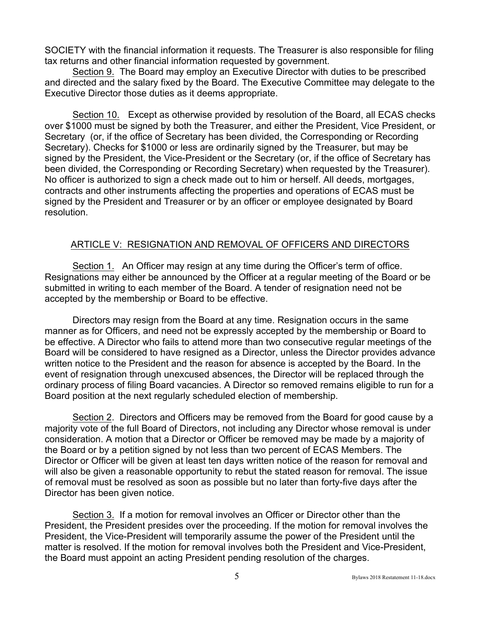SOCIETY with the financial information it requests. The Treasurer is also responsible for filing tax returns and other financial information requested by government.

Section 9. The Board may employ an Executive Director with duties to be prescribed and directed and the salary fixed by the Board. The Executive Committee may delegate to the Executive Director those duties as it deems appropriate.

Section 10. Except as otherwise provided by resolution of the Board, all ECAS checks over \$1000 must be signed by both the Treasurer, and either the President, Vice President, or Secretary (or, if the office of Secretary has been divided, the Corresponding or Recording Secretary). Checks for \$1000 or less are ordinarily signed by the Treasurer, but may be signed by the President, the Vice-President or the Secretary (or, if the office of Secretary has been divided, the Corresponding or Recording Secretary) when requested by the Treasurer). No officer is authorized to sign a check made out to him or herself. All deeds, mortgages, contracts and other instruments affecting the properties and operations of ECAS must be signed by the President and Treasurer or by an officer or employee designated by Board resolution.

### ARTICLE V: RESIGNATION AND REMOVAL OF OFFICERS AND DIRECTORS

Section 1. An Officer may resign at any time during the Officer's term of office. Resignations may either be announced by the Officer at a regular meeting of the Board or be submitted in writing to each member of the Board. A tender of resignation need not be accepted by the membership or Board to be effective.

Directors may resign from the Board at any time. Resignation occurs in the same manner as for Officers, and need not be expressly accepted by the membership or Board to be effective. A Director who fails to attend more than two consecutive regular meetings of the Board will be considered to have resigned as a Director, unless the Director provides advance written notice to the President and the reason for absence is accepted by the Board. In the event of resignation through unexcused absences, the Director will be replaced through the ordinary process of filing Board vacancies. A Director so removed remains eligible to run for a Board position at the next regularly scheduled election of membership.

Section 2. Directors and Officers may be removed from the Board for good cause by a majority vote of the full Board of Directors, not including any Director whose removal is under consideration. A motion that a Director or Officer be removed may be made by a majority of the Board or by a petition signed by not less than two percent of ECAS Members. The Director or Officer will be given at least ten days written notice of the reason for removal and will also be given a reasonable opportunity to rebut the stated reason for removal. The issue of removal must be resolved as soon as possible but no later than forty-five days after the Director has been given notice.

Section 3. If a motion for removal involves an Officer or Director other than the President, the President presides over the proceeding. If the motion for removal involves the President, the Vice-President will temporarily assume the power of the President until the matter is resolved. If the motion for removal involves both the President and Vice-President, the Board must appoint an acting President pending resolution of the charges.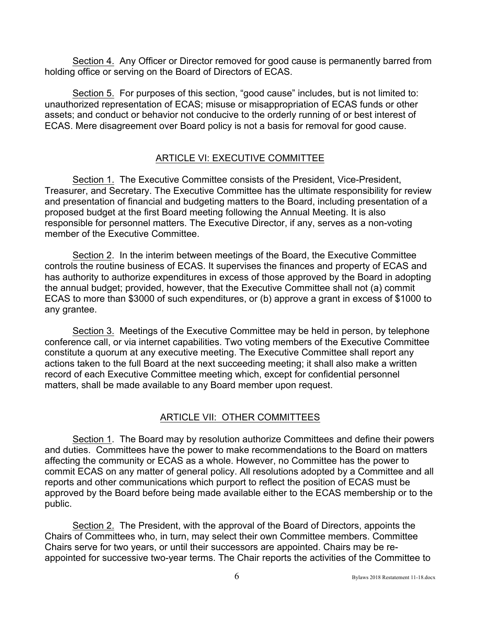Section 4. Any Officer or Director removed for good cause is permanently barred from holding office or serving on the Board of Directors of ECAS.

Section 5. For purposes of this section, "good cause" includes, but is not limited to: unauthorized representation of ECAS; misuse or misappropriation of ECAS funds or other assets; and conduct or behavior not conducive to the orderly running of or best interest of ECAS. Mere disagreement over Board policy is not a basis for removal for good cause.

# ARTICLE VI: EXECUTIVE COMMITTEE

Section 1. The Executive Committee consists of the President, Vice-President, Treasurer, and Secretary. The Executive Committee has the ultimate responsibility for review and presentation of financial and budgeting matters to the Board, including presentation of a proposed budget at the first Board meeting following the Annual Meeting. It is also responsible for personnel matters. The Executive Director, if any, serves as a non-voting member of the Executive Committee.

Section 2. In the interim between meetings of the Board, the Executive Committee controls the routine business of ECAS. It supervises the finances and property of ECAS and has authority to authorize expenditures in excess of those approved by the Board in adopting the annual budget; provided, however, that the Executive Committee shall not (a) commit ECAS to more than \$3000 of such expenditures, or (b) approve a grant in excess of \$1000 to any grantee.

Section 3. Meetings of the Executive Committee may be held in person, by telephone conference call, or via internet capabilities. Two voting members of the Executive Committee constitute a quorum at any executive meeting. The Executive Committee shall report any actions taken to the full Board at the next succeeding meeting; it shall also make a written record of each Executive Committee meeting which, except for confidential personnel matters, shall be made available to any Board member upon request.

# ARTICLE VII: OTHER COMMITTEES

Section 1. The Board may by resolution authorize Committees and define their powers and duties. Committees have the power to make recommendations to the Board on matters affecting the community or ECAS as a whole. However, no Committee has the power to commit ECAS on any matter of general policy. All resolutions adopted by a Committee and all reports and other communications which purport to reflect the position of ECAS must be approved by the Board before being made available either to the ECAS membership or to the public.

Section 2. The President, with the approval of the Board of Directors, appoints the Chairs of Committees who, in turn, may select their own Committee members. Committee Chairs serve for two years, or until their successors are appointed. Chairs may be reappointed for successive two-year terms. The Chair reports the activities of the Committee to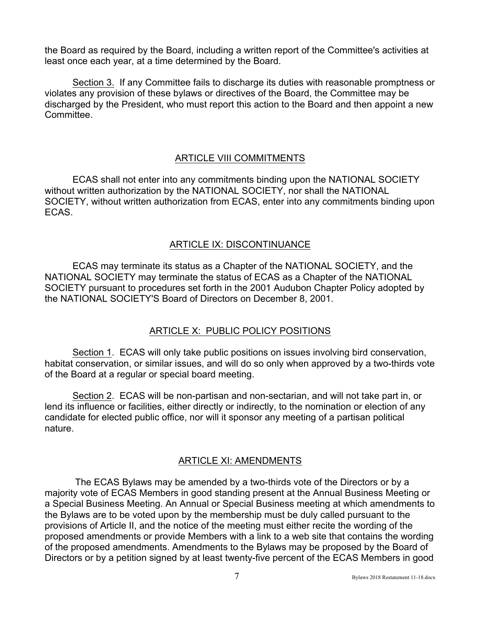the Board as required by the Board, including a written report of the Committee's activities at least once each year, at a time determined by the Board.

Section 3. If any Committee fails to discharge its duties with reasonable promptness or violates any provision of these bylaws or directives of the Board, the Committee may be discharged by the President, who must report this action to the Board and then appoint a new **Committee.** 

## ARTICLE VIII COMMITMENTS

ECAS shall not enter into any commitments binding upon the NATIONAL SOCIETY without written authorization by the NATIONAL SOCIETY, nor shall the NATIONAL SOCIETY, without written authorization from ECAS, enter into any commitments binding upon ECAS.

### ARTICLE IX: DISCONTINUANCE

ECAS may terminate its status as a Chapter of the NATIONAL SOCIETY, and the NATIONAL SOCIETY may terminate the status of ECAS as a Chapter of the NATIONAL SOCIETY pursuant to procedures set forth in the 2001 Audubon Chapter Policy adopted by the NATIONAL SOCIETY'S Board of Directors on December 8, 2001.

## ARTICLE X: PUBLIC POLICY POSITIONS

Section 1. ECAS will only take public positions on issues involving bird conservation, habitat conservation, or similar issues, and will do so only when approved by a two-thirds vote of the Board at a regular or special board meeting.

Section 2. ECAS will be non-partisan and non-sectarian, and will not take part in, or lend its influence or facilities, either directly or indirectly, to the nomination or election of any candidate for elected public office, nor will it sponsor any meeting of a partisan political nature.

### ARTICLE XI: AMENDMENTS

The ECAS Bylaws may be amended by a two-thirds vote of the Directors or by a majority vote of ECAS Members in good standing present at the Annual Business Meeting or a Special Business Meeting. An Annual or Special Business meeting at which amendments to the Bylaws are to be voted upon by the membership must be duly called pursuant to the provisions of Article II, and the notice of the meeting must either recite the wording of the proposed amendments or provide Members with a link to a web site that contains the wording of the proposed amendments. Amendments to the Bylaws may be proposed by the Board of Directors or by a petition signed by at least twenty-five percent of the ECAS Members in good